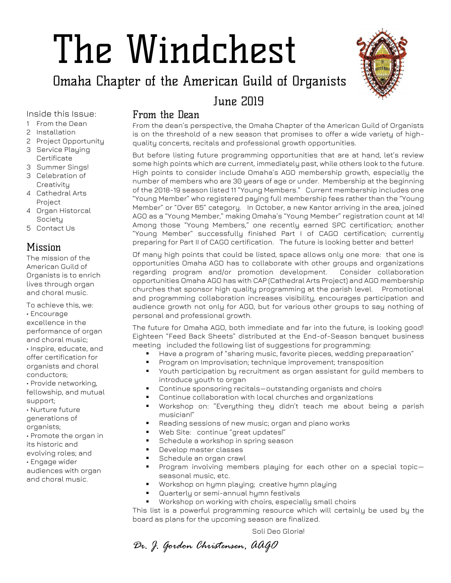## The Windchest

## Omaha Chapter of the American Guild of Organists



## June 2019

Inside this Issue:

- 1 From the Dean
- 2 Installation
- 2 Project Opportunity
- 3 Service Playing Certificate
- 3 Summer Sings! 3 Celebration of **Creativity**
- 4 Cathedral Arts Project
- 4 Organ Historcal Society
- 5 Contact Us

#### Mission

The mission of the American Guild of Organists is to enrich lives through organ and choral music.

To achieve this, we: • Encourage excellence in the performance of organ and choral music; • Inspire, educate, and offer certification for organists and choral conductors; • Provide networking,

fellowship, and mutual support;

• Nurture future generations of

organists;

• Promote the organ in

- its historic and
- evolving roles; and
- Engage wider audiences with organ

and choral music.

#### From the Dean

From the dean's perspective, the Omaha Chapter of the American Guild of Organists is on the threshold of a new season that promises to offer a wide variety of highquality concerts, recitals and professional growth opportunities.

But before listing future programming opportunities that are at hand, let's review some high points which are current, immediately past, while others look to the future. High points to consider include Omaha's AGO membership growth, especially the number of members who are 30 years of age or under. Membership at the beginning of the 2018-19 season listed 11 "Young Members." Current membership includes one "Young Member" who registered paying full membership fees rather than the "Young Member" or "Over 65" category. In October, a new Kantor arriving in the area, joined AGO as a "Young Member," making Omaha's "Young Member" registration count at 14! Among those "Young Members," one recently earned SPC certification; another "Young Member" successfully finished Part I of CAGO certification; currently preparing for Part II of CAGO certification. The future is looking better and better!

Of many high points that could be listed, space allows only one more: that one is opportunities Omaha AGO has to collaborate with other groups and organizations regarding program and/or promotion development. Consider collaboration opportunities Omaha AGO has with CAP (Cathedral Arts Project) and AGO membership churches that sponsor high quality programming at the parish level. Promotional and programming collaboration increases visibility, encourages participation and audience growth not only for AGO, but for various other groups to say nothing of personal and professional growth.

The future for Omaha AGO, both immediate and far into the future, is looking good! Eighteen "Feed Back Sheets" distributed at the End-of-Season banquet business meeting included the following list of suggestions for programming:

- Have a program of "sharing music, favorite pieces, wedding preparaation"
- Program on Improvisation; technique improvement; transposition
- Youth participation by recruitment as organ assistant for guild members to introduce youth to organ
- Continue sponsoring recitals—outstanding organists and choirs
- Continue collaboration with local churches and organizations
- Workshop on: "Everything they didn't teach me about being a parish musician!"
- Reading sessions of new music; organ and piano works
- Web Site: continue "great updates!"
- Schedule a workshop in spring season
- Develop master classes
- Schedule an organ crawl
- Program involving members playing for each other on a special topicseasonal music, etc.
- Workshop on hymn playing; creative hymn playing
- Quarterly or semi-annual hymn festivals
- Workshop on working with choirs, especially small choirs

This list is a powerful programming resource which will certainly be used by the board as plans for the upcoming season are finalized.

Soli Deo Gloria!

*Dr. J. Gordon Christensen, AAGO*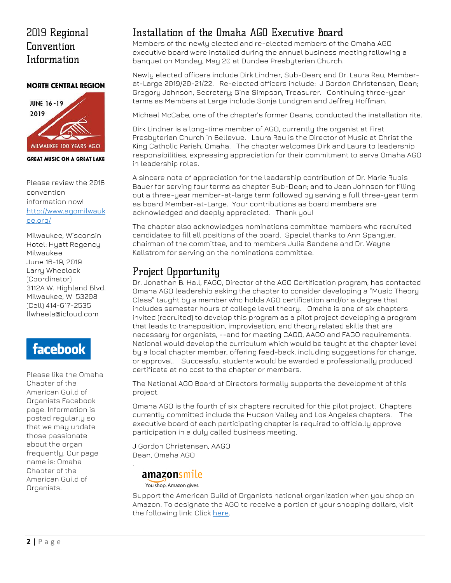## 2019 Regional Convention Information

#### **NORTH CENTRAL REGION**



**GREAT MUSIC ON A GREAT LAKE** 

Please review the 2018 convention information now! [http://www.agomilwauk](http://www.agomilwaukee.org/) [ee.org/](http://www.agomilwaukee.org/)

Milwaukee, Wisconsin Hotel: Hyatt Regency Milwaukee June 16-19, 2019 Larry Wheelock (Coordinator) 3112A W. Highland Blvd. Milwaukee, WI 53208 (Cell) 414-617-2535 llwheels@icloud.com

## facebook

Please like the Omaha Chapter of the American Guild of Organists Facebook page. Information is posted regularly so that we may update those passionate about the organ frequently. Our page name is: Omaha Chapter of the American Guild of Organists.

#### Installation of the Omaha AGO Executive Board

Members of the newly elected and re-elected members of the Omaha AGO executive board were installed during the annual business meeting following a banquet on Monday, May 20 at Dundee Presbyterian Church.

Newly elected officers include Dirk Lindner, Sub-Dean; and Dr. Laura Rau, Memberat-Large 2019/20-21/22. Re-elected officers include: J Gordon Christensen, Dean; Gregory Johnson, Secretary; Gina Simpson, Treasurer. Continuing three-year terms as Members at Large include Sonja Lundgren and Jeffrey Hoffman.

Michael McCabe, one of the chapter's former Deans, conducted the installation rite.

Dirk Lindner is a long-time member of AGO, currently the organist at First Presbyterian Church in Bellevue. Laura Rau is the Director of Music at Christ the King Catholic Parish, Omaha. The chapter welcomes Dirk and Laura to leadership responsibilities, expressing appreciation for their commitment to serve Omaha AGO in leadership roles.

A sincere note of appreciation for the leadership contribution of Dr. Marie Rubis Bauer for serving four terms as chapter Sub-Dean; and to Jean Johnson for filling out a three-year member-at-large term followed by serving a full three-year term as board Member-at-Large. Your contributions as board members are acknowledged and deeply appreciated. Thank you!

The chapter also acknowledges nominations committee members who recruited candidates to fill all positions of the board. Special thanks to Ann Spangler, chairman of the committee, and to members Julie Sandene and Dr. Wayne Kallstrom for serving on the nominations committee.

### Project Opportunity

Dr. Jonathan B. Hall, FAGO, Director of the AGO Certification program, has contacted Omaha AGO leadership asking the chapter to consider developing a "Music Theory Class" taught by a member who holds AGO certification and/or a degree that includes semester hours of college level theory. Omaha is one of six chapters invited (recruited) to develop this program as a pilot project developing a program that leads to transposition, improvisation, and theory related skills that are necessary for organists, --and for meeting CAGO, AAGO and FAGO requirements. National would develop the curriculum which would be taught at the chapter level by a local chapter member, offering feed-back, including suggestions for change, or approval. Successful students would be awarded a professionally produced certificate at no cost to the chapter or members.

The National AGO Board of Directors formally supports the development of this project.

Omaha AGO is the fourth of six chapters recruited for this pilot project. Chapters currently committed include the Hudson Valley and Los Angeles chapters. The executive board of each participating chapter is required to officially approve participation in a duly called business meeting.

J Gordon Christensen, AAGO Dean, Omaha AGO

#### amazonsmile

You shop. Amazon gives.

.

Support the American Guild of Organists national organization when you shop on Amazon. To designate the AGO to receive a portion of your shopping dollars, visit the following link: Click [here.](https://smile.amazon.com/ref=smi_ext_ch_13?_encoding=UTF8&ein=13-0431730&ref_=smi_chpf_redirect&ref_=smi_ext_ch_13-0431730_cl)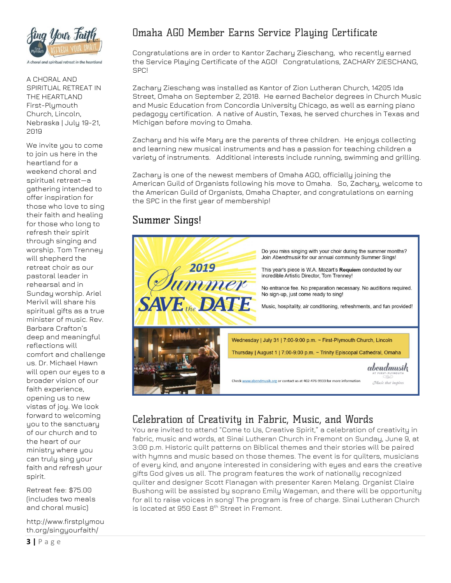

A CHORAL AND SPIRITUAL RETREAT IN THE HEARTLAND First-Plymouth Church, Lincoln, Nebraska | July 19-21, 2019

We invite you to come to join us here in the heartland for a weekend choral and spiritual retreat—a gathering intended to offer inspiration for those who love to sing their faith and healing for those who long to refresh their spirit through singing and worship. Tom Trenney will shepherd the retreat choir as our pastoral leader in rehearsal and in Sunday worship. Ariel Merivil will share his spiritual gifts as a true minister of music. Rev. Barbara Crafton's deep and meaningful reflections will comfort and challenge us. Dr. Michael Hawn will open our eyes to a broader vision of our faith experience, opening us to new vistas of joy. We look forward to welcoming you to the sanctuary of our church and to the heart of our ministry where you can truly sing your faith and refresh your spirit.

Retreat fee: \$75.00 (includes two meals and choral music)

http://www.firstplymou th.org/singyourfaith/

#### Omaha AGO Member Earns Service Playing Certificate

Congratulations are in order to Kantor Zachary Zieschang, who recently earned the Service Playing Certificate of the AGO! Congratulations, ZACHARY ZIESCHANG, SPC!

Zachary Zieschang was installed as Kantor of Zion Lutheran Church, 14205 Ida Street, Omaha on September 2, 2018. He earned Bachelor degrees in Church Music and Music Education from Concordia University Chicago, as well as earning piano pedagogy certification. A native of Austin, Texas, he served churches in Texas and Michigan before moving to Omaha.

Zachary and his wife Mary are the parents of three children. He enjoys collecting and learning new musical instruments and has a passion for teaching children a variety of instruments. Additional interests include running, swimming and grilling.

Zachary is one of the newest members of Omaha AGO, officially joining the American Guild of Organists following his move to Omaha. So, Zachary, welcome to the American Guild of Organists, Omaha Chapter, and congratulations on earning the SPC in the first year of membership!

#### Summer Sings!



### Celebration of Creativity in Fabric, Music, and Words

You are invited to attend "Come to Us, Creative Spirit," a celebration of creativity in fabric, music and words, at Sinai Lutheran Church in Fremont on Sunday, June 9, at 3:00 p.m. Historic quilt patterns on Biblical themes and their stories will be paired with hymns and music based on those themes. The event is for quilters, musicians of every kind, and anyone interested in considering with eyes and ears the creative gifts God gives us all. The program features the work of nationally recognized quilter and designer Scott Flanagan with presenter Karen Melang. Organist Claire Bushong will be assisted by soprano Emily Wageman, and there will be opportunity for all to raise voices in song! The program is free of charge. Sinai Lutheran Church is located at 950 East 8th Street in Fremont.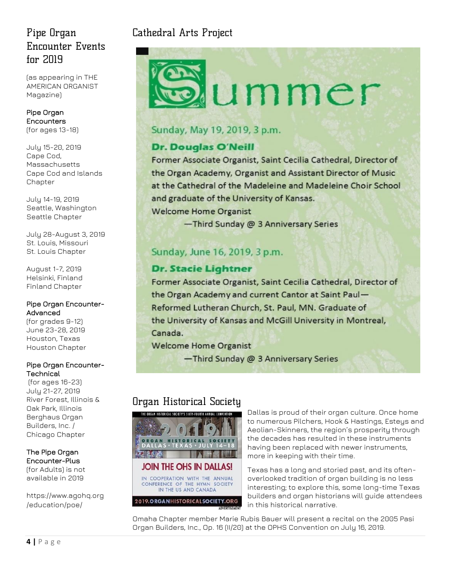## [Pipe Organ](https://www.agohq.org/wp-content/uploads/2018/10/TAO_Dec2018POE_ad.pdf)  [Encounter Events](https://www.agohq.org/wp-content/uploads/2018/10/TAO_Dec2018POE_ad.pdf)  [for 2019](https://www.agohq.org/wp-content/uploads/2018/10/TAO_Dec2018POE_ad.pdf)

(as appearing in THE AMERICAN ORGANIST Magazine)

#### [Pipe Organ](https://www.agohq.org/education/poe/poe/)  [Encounters](https://www.agohq.org/education/poe/poe/)  (for ages 13-18)

July 15-20, 2019 Cape Cod, Massachusetts [Cape Cod and Islands](http://www.capeandislandsago.org/)  [Chapter](http://www.capeandislandsago.org/)

July 14-19, 2019 Seattle, Washington [Seattle Chapter](http://www.agoseattle.com/)

July 28-August 3, 2019 St. Louis, Missouri [St. Louis Chapter](http://www.agostlouis.org/)

August 1-7, 2019 Helsinki, Finland [Finland Chapter](https://www.agohq.org/chapters/finland/)

#### [Pipe Organ Encounter-](https://www.agohq.org/education/poe/poe-advanced/)[Advanced](https://www.agohq.org/education/poe/poe-advanced/)

(for grades 9-12) June 23-28, 2019 Houston, Texas [Houston Chapter](http://www.ago-houston.org/)

#### [Pipe Organ Encounter-](https://www.agohq.org/education/poe/poe-technical/)**[Technical](https://www.agohq.org/education/poe/poe-technical/)**

(for ages 16-23) July 21-27, 2019 River Forest, Illinois & Oak Park, Illinois [Berghaus Organ](http://www.berghausorgan.com/)  [Builders, Inc.](http://www.berghausorgan.com/) / [Chicago Chapter](http://www.chicagoago.com/)

The [Pipe Organ](https://www.agohq.org/education/poe/poe-advanced/)  [Encounter-Plus](https://www.agohq.org/education/poe/poe-advanced/) (for Adults) is not available in 2019

[https://www.agohq.org](https://www.agohq.org/education/poe/) [/education/poe/](https://www.agohq.org/education/poe/)

## Cathedral Arts Project

# ummer

#### Sunday, May 19, 2019, 3 p.m.

#### **Dr. Douglas O'Neill**

Former Associate Organist, Saint Cecilia Cathedral, Director of the Organ Academy, Organist and Assistant Director of Music at the Cathedral of the Madeleine and Madeleine Choir School and graduate of the University of Kansas.

**Welcome Home Organist** 

-Third Sunday @ 3 Anniversary Series

### Sunday, June 16, 2019, 3 p.m.

#### **Dr. Stacie Lightner**

Former Associate Organist, Saint Cecilia Cathedral, Director of the Organ Academy and current Cantor at Saint Paul-Reformed Lutheran Church, St. Paul, MN. Graduate of the University of Kansas and McGill University in Montreal, Canada.

**Welcome Home Organist** 

-Third Sunday @ 3 Anniversary Series

## Organ Historical Society



Dallas is proud of their organ culture. Once home to numerous Pilchers, Hook & Hastings, Esteys and Aeolian-Skinners, the region's prosperity through the decades has resulted in these instruments having been replaced with newer instruments, more in keeping with their time.

Texas has a long and storied past, and its oftenoverlooked tradition of organ building is no less interesting; to explore this, some long-time Texas builders and organ historians will guide attendees in this historical narrative.

Omaha Chapter member Marie Rubis Bauer will present a recital on the 2005 Pasi Organ Builders, Inc., Op. 16 (II/20) at the OPHS Convention on July 16, 2019.